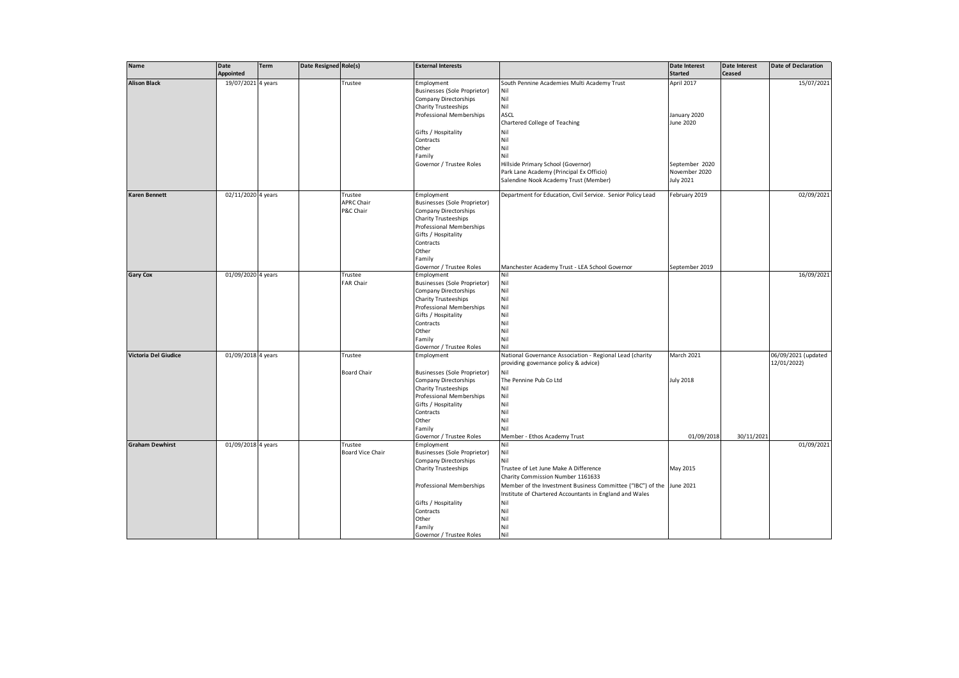| <b>Name</b>            | Date               | <b>Term</b> | Date Resigned Role(s) |                         | <b>External Interests</b>           |                                                             | Date Interest    | Date Interest<br><b>Ceased</b> | <b>Date of Declaration</b> |
|------------------------|--------------------|-------------|-----------------------|-------------------------|-------------------------------------|-------------------------------------------------------------|------------------|--------------------------------|----------------------------|
|                        | Appointed          |             |                       |                         |                                     |                                                             | <b>Started</b>   |                                | 15/07/2021                 |
| <b>Alison Black</b>    | 19/07/2021 4 years |             |                       | Trustee                 | Employment                          | South Pennine Academies Multi Academy Trust                 | April 2017       |                                |                            |
|                        |                    |             |                       |                         | <b>Businesses (Sole Proprietor)</b> | Nil                                                         |                  |                                |                            |
|                        |                    |             |                       |                         | Company Directorships               | Nil                                                         |                  |                                |                            |
|                        |                    |             |                       |                         | <b>Charity Trusteeships</b>         | Nil                                                         |                  |                                |                            |
|                        |                    |             |                       |                         | Professional Memberships            | ASCL                                                        | January 2020     |                                |                            |
|                        |                    |             |                       |                         |                                     | Chartered College of Teaching                               | June 2020        |                                |                            |
|                        |                    |             |                       |                         | Gifts / Hospitality                 | Nil                                                         |                  |                                |                            |
|                        |                    |             |                       |                         | Contracts                           | Nil                                                         |                  |                                |                            |
|                        |                    |             |                       |                         | Other                               | Nil                                                         |                  |                                |                            |
|                        |                    |             |                       |                         | Family                              | Nil                                                         |                  |                                |                            |
|                        |                    |             |                       |                         | Governor / Trustee Roles            | Hillside Primary School (Governor)                          | September 2020   |                                |                            |
|                        |                    |             |                       |                         |                                     | Park Lane Academy (Principal Ex Officio)                    | November 2020    |                                |                            |
|                        |                    |             |                       |                         |                                     | Salendine Nook Academy Trust (Member)                       | <b>July 2021</b> |                                |                            |
|                        |                    |             |                       |                         |                                     |                                                             |                  |                                |                            |
| <b>Karen Bennett</b>   | 02/11/2020 4 years |             |                       | Trustee                 | Employment                          | Department for Education, Civil Service. Senior Policy Lead | February 2019    |                                | 02/09/2021                 |
|                        |                    |             |                       | <b>APRC Chair</b>       | Businesses (Sole Proprietor)        |                                                             |                  |                                |                            |
|                        |                    |             |                       | P&C Chair               | Company Directorships               |                                                             |                  |                                |                            |
|                        |                    |             |                       |                         | <b>Charity Trusteeships</b>         |                                                             |                  |                                |                            |
|                        |                    |             |                       |                         | Professional Memberships            |                                                             |                  |                                |                            |
|                        |                    |             |                       |                         | Gifts / Hospitality                 |                                                             |                  |                                |                            |
|                        |                    |             |                       |                         | Contracts                           |                                                             |                  |                                |                            |
|                        |                    |             |                       |                         | Other                               |                                                             |                  |                                |                            |
|                        |                    |             |                       |                         | Family                              |                                                             |                  |                                |                            |
|                        |                    |             |                       |                         | Governor / Trustee Roles            | Manchester Academy Trust - LEA School Governor              | September 2019   |                                |                            |
| <b>Gary Cox</b>        | 01/09/2020 4 years |             |                       | Trustee                 | Employment                          | Nil                                                         |                  |                                | 16/09/2021                 |
|                        |                    |             |                       | FAR Chair               | <b>Businesses (Sole Proprietor)</b> | Nil                                                         |                  |                                |                            |
|                        |                    |             |                       |                         | Company Directorships               | Nil                                                         |                  |                                |                            |
|                        |                    |             |                       |                         | Charity Trusteeships                | Nil                                                         |                  |                                |                            |
|                        |                    |             |                       |                         | Professional Memberships            | Nil                                                         |                  |                                |                            |
|                        |                    |             |                       |                         |                                     | Nil                                                         |                  |                                |                            |
|                        |                    |             |                       |                         | Gifts / Hospitality                 | Nil                                                         |                  |                                |                            |
|                        |                    |             |                       |                         | Contracts                           | Nil                                                         |                  |                                |                            |
|                        |                    |             |                       |                         | Other                               | Nil                                                         |                  |                                |                            |
|                        |                    |             |                       |                         | Family                              |                                                             |                  |                                |                            |
|                        |                    |             |                       |                         | Governor / Trustee Roles            | Nil                                                         |                  |                                |                            |
| Victoria Del Giudice   | 01/09/2018 4 years |             |                       | Trustee                 | Employment                          | National Governance Association - Regional Lead (charity    | March 2021       |                                | 06/09/2021 (updated        |
|                        |                    |             |                       |                         |                                     | providing governance policy & advice)                       |                  |                                | 12/01/2022)                |
|                        |                    |             |                       | <b>Board Chair</b>      | <b>Businesses (Sole Proprietor)</b> | Nil                                                         |                  |                                |                            |
|                        |                    |             |                       |                         | Company Directorships               | The Pennine Pub Co Ltd                                      | <b>July 2018</b> |                                |                            |
|                        |                    |             |                       |                         | Charity Trusteeships                | Nil                                                         |                  |                                |                            |
|                        |                    |             |                       |                         | Professional Memberships            | Nil                                                         |                  |                                |                            |
|                        |                    |             |                       |                         | Gifts / Hospitality                 | Nil                                                         |                  |                                |                            |
|                        |                    |             |                       |                         | Contracts                           | Nil                                                         |                  |                                |                            |
|                        |                    |             |                       |                         | Other                               | Nil                                                         |                  |                                |                            |
|                        |                    |             |                       |                         | Family                              | Nil                                                         |                  |                                |                            |
|                        |                    |             |                       |                         | Governor / Trustee Roles            | Member - Ethos Academy Trust                                | 01/09/2018       | 30/11/2021                     |                            |
| <b>Graham Dewhirst</b> | 01/09/2018 4 years |             |                       | Trustee                 | Employment                          | Nil                                                         |                  |                                | 01/09/2021                 |
|                        |                    |             |                       | <b>Board Vice Chair</b> | Businesses (Sole Proprietor)        | Nil                                                         |                  |                                |                            |
|                        |                    |             |                       |                         | Company Directorships               | Nil                                                         |                  |                                |                            |
|                        |                    |             |                       |                         | Charity Trusteeships                | Trustee of Let June Make A Difference                       | May 2015         |                                |                            |
|                        |                    |             |                       |                         |                                     | Charity Commission Number 1161633                           |                  |                                |                            |
|                        |                    |             |                       |                         | Professional Memberships            | Member of the Investment Business Committee ("IBC") of the  | June 2021        |                                |                            |
|                        |                    |             |                       |                         |                                     | Institute of Chartered Accountants in England and Wales     |                  |                                |                            |
|                        |                    |             |                       |                         | Gifts / Hospitality                 | Nil                                                         |                  |                                |                            |
|                        |                    |             |                       |                         | Contracts                           | Nil                                                         |                  |                                |                            |
|                        |                    |             |                       |                         | Other                               | Nil                                                         |                  |                                |                            |
|                        |                    |             |                       |                         |                                     | Nil                                                         |                  |                                |                            |
|                        |                    |             |                       |                         | Family                              |                                                             |                  |                                |                            |
|                        |                    |             |                       |                         | Governor / Trustee Roles            | Nil                                                         |                  |                                |                            |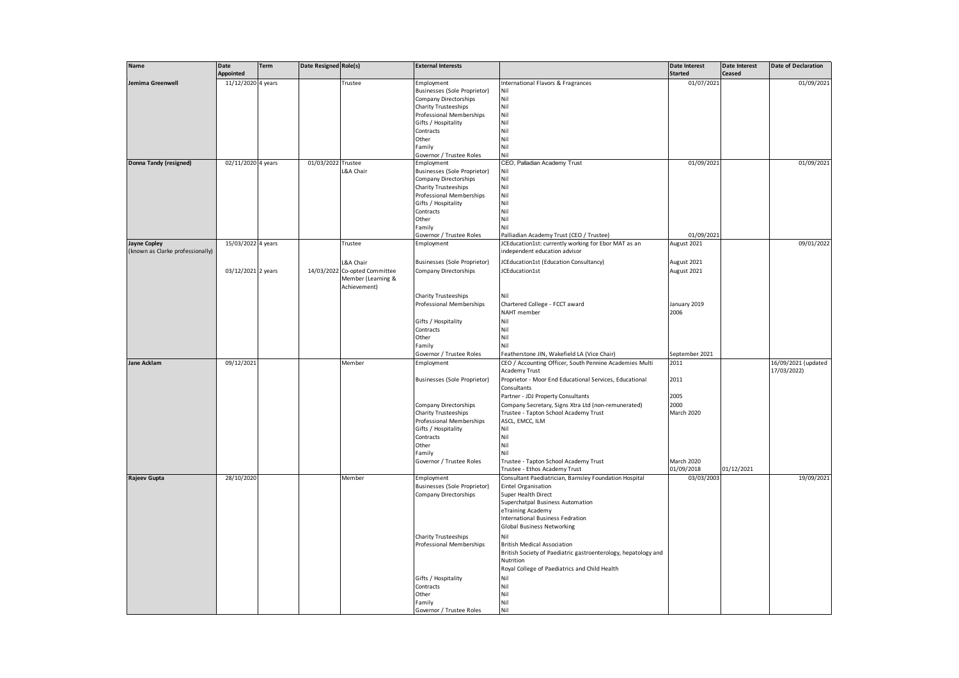| <b>Name</b>                                             | <b>Date</b>        | Term | <b>Date Resigned Role(s)</b> |                               | <b>External Interests</b>                        |                                                                                       | Date Interest  | <b>Date Interest</b> | <b>Date of Declaration</b>         |
|---------------------------------------------------------|--------------------|------|------------------------------|-------------------------------|--------------------------------------------------|---------------------------------------------------------------------------------------|----------------|----------------------|------------------------------------|
|                                                         | Appointed          |      |                              |                               |                                                  |                                                                                       | <b>Started</b> | Ceased               |                                    |
| Jemima Greenwell                                        | 11/12/2020 4 years |      |                              | Trustee                       | Employment                                       | International Flavors & Fragrances                                                    | 01/07/2021     |                      | 01/09/2021                         |
|                                                         |                    |      |                              |                               | Businesses (Sole Proprietor)                     | Nil                                                                                   |                |                      |                                    |
|                                                         |                    |      |                              |                               | <b>Company Directorships</b>                     | Nil                                                                                   |                |                      |                                    |
|                                                         |                    |      |                              |                               | <b>Charity Trusteeships</b>                      | Nil                                                                                   |                |                      |                                    |
|                                                         |                    |      |                              |                               | Professional Memberships                         | Nil                                                                                   |                |                      |                                    |
|                                                         |                    |      |                              |                               | Gifts / Hospitality                              | Nil                                                                                   |                |                      |                                    |
|                                                         |                    |      |                              |                               | Contracts                                        | Nil                                                                                   |                |                      |                                    |
|                                                         |                    |      |                              |                               | Other                                            | Nil                                                                                   |                |                      |                                    |
|                                                         |                    |      |                              |                               | Family                                           | Nil                                                                                   |                |                      |                                    |
|                                                         | 02/11/2020 4 years |      | 01/03/2022 Trustee           |                               | Governor / Trustee Roles                         | Nil                                                                                   | 01/09/2021     |                      | 01/09/2021                         |
| Donna Tandy (resigned)                                  |                    |      |                              |                               | Employment                                       | CEO, Palladian Academy Trust<br>Nil                                                   |                |                      |                                    |
|                                                         |                    |      |                              | L&A Chair                     | <b>Businesses (Sole Proprietor)</b>              | Nil                                                                                   |                |                      |                                    |
|                                                         |                    |      |                              |                               | Company Directorships                            |                                                                                       |                |                      |                                    |
|                                                         |                    |      |                              |                               | Charity Trusteeships<br>Professional Memberships | Nil<br>Nil                                                                            |                |                      |                                    |
|                                                         |                    |      |                              |                               |                                                  | Nil                                                                                   |                |                      |                                    |
|                                                         |                    |      |                              |                               | Gifts / Hospitality<br>Contracts                 | Nil                                                                                   |                |                      |                                    |
|                                                         |                    |      |                              |                               |                                                  |                                                                                       |                |                      |                                    |
|                                                         |                    |      |                              |                               | Other                                            | Nil                                                                                   |                |                      |                                    |
|                                                         |                    |      |                              |                               | Family                                           | Nil                                                                                   |                |                      |                                    |
|                                                         |                    |      |                              |                               | Governor / Trustee Roles                         | Palliadian Academy Trust (CEO / Trustee)                                              | 01/09/2021     |                      |                                    |
| <b>Jayne Copley</b><br>(known as Clarke professionally) | 15/03/2022 4 years |      |                              | Trustee                       | Employment                                       | JCEducation1st: currently working for Ebor MAT as an<br>independent education advisor | August 2021    |                      | 09/01/2022                         |
|                                                         |                    |      |                              | L&A Chair                     | <b>Businesses (Sole Proprietor)</b>              | JCEducation1st (Education Consultancy)                                                | August 2021    |                      |                                    |
|                                                         | 03/12/2021 2 years |      |                              | 14/03/2022 Co-opted Committee | <b>Company Directorships</b>                     | JCEducation1st                                                                        | August 2021    |                      |                                    |
|                                                         |                    |      |                              | Member (Learning &            |                                                  |                                                                                       |                |                      |                                    |
|                                                         |                    |      |                              | Achievement)                  |                                                  |                                                                                       |                |                      |                                    |
|                                                         |                    |      |                              |                               | Charity Trusteeships                             | Nil                                                                                   |                |                      |                                    |
|                                                         |                    |      |                              |                               | Professional Memberships                         | Chartered College - FCCT award                                                        | January 2019   |                      |                                    |
|                                                         |                    |      |                              |                               |                                                  | NAHT member                                                                           | 2006           |                      |                                    |
|                                                         |                    |      |                              |                               |                                                  |                                                                                       |                |                      |                                    |
|                                                         |                    |      |                              |                               | Gifts / Hospitality                              | Nil                                                                                   |                |                      |                                    |
|                                                         |                    |      |                              |                               | Contracts                                        | Nil                                                                                   |                |                      |                                    |
|                                                         |                    |      |                              |                               | Other                                            | Nil                                                                                   |                |                      |                                    |
|                                                         |                    |      |                              |                               | Family                                           | Nil                                                                                   |                |                      |                                    |
|                                                         |                    |      |                              |                               | Governor / Trustee Roles                         | Featherstone JIN, Wakefield LA (Vice Chair)                                           | September 2021 |                      |                                    |
| Jane Acklam                                             | 09/12/2021         |      |                              | Member                        | Employment                                       | CEO / Accounting Officer, South Pennine Academies Multi<br>Academy Trust              | 2011           |                      | 16/09/2021 (updated<br>17/03/2022) |
|                                                         |                    |      |                              |                               | Businesses (Sole Proprietor)                     | Proprietor - Moor End Educational Services, Educational                               | 2011           |                      |                                    |
|                                                         |                    |      |                              |                               |                                                  | Consultants                                                                           |                |                      |                                    |
|                                                         |                    |      |                              |                               |                                                  | Partner - JDJ Property Consultants                                                    | 2005           |                      |                                    |
|                                                         |                    |      |                              |                               | Company Directorships                            | Company Secretary, Signs Xtra Ltd (non-remunerated)                                   | 2000           |                      |                                    |
|                                                         |                    |      |                              |                               | <b>Charity Trusteeships</b>                      | Trustee - Tapton School Academy Trust                                                 | March 2020     |                      |                                    |
|                                                         |                    |      |                              |                               | Professional Memberships                         | ASCL, EMCC, ILM                                                                       |                |                      |                                    |
|                                                         |                    |      |                              |                               | Gifts / Hospitality                              | Nil                                                                                   |                |                      |                                    |
|                                                         |                    |      |                              |                               | Contracts                                        | Nil                                                                                   |                |                      |                                    |
|                                                         |                    |      |                              |                               | Other                                            | Nil                                                                                   |                |                      |                                    |
|                                                         |                    |      |                              |                               | Family                                           | Nil                                                                                   |                |                      |                                    |
|                                                         |                    |      |                              |                               | Governor / Trustee Roles                         | Trustee - Tapton School Academy Trust                                                 | March 2020     |                      |                                    |
|                                                         |                    |      |                              |                               |                                                  | Trustee - Ethos Academy Trust                                                         | 01/09/2018     | 01/12/2021           |                                    |
| <b>Rajeev Gupta</b>                                     | 28/10/2020         |      |                              | Member                        | Employment                                       | Consultant Paediatrician, Barnsley Foundation Hospital                                | 03/03/2003     |                      | 19/09/2021                         |
|                                                         |                    |      |                              |                               | Businesses (Sole Proprietor)                     | Eintel Organisation                                                                   |                |                      |                                    |
|                                                         |                    |      |                              |                               | <b>Company Directorships</b>                     | Super Health Direct                                                                   |                |                      |                                    |
|                                                         |                    |      |                              |                               |                                                  | Superchatpal Business Automation                                                      |                |                      |                                    |
|                                                         |                    |      |                              |                               |                                                  | eTraining Academy                                                                     |                |                      |                                    |
|                                                         |                    |      |                              |                               |                                                  | International Business Fedration                                                      |                |                      |                                    |
|                                                         |                    |      |                              |                               |                                                  | <b>Global Business Networking</b>                                                     |                |                      |                                    |
|                                                         |                    |      |                              |                               | <b>Charity Trusteeships</b>                      | Nil                                                                                   |                |                      |                                    |
|                                                         |                    |      |                              |                               | Professional Memberships                         | <b>British Medical Association</b>                                                    |                |                      |                                    |
|                                                         |                    |      |                              |                               |                                                  | British Society of Paediatric gastroenterology, hepatology and                        |                |                      |                                    |
|                                                         |                    |      |                              |                               |                                                  | Nutrition                                                                             |                |                      |                                    |
|                                                         |                    |      |                              |                               |                                                  | Royal College of Paediatrics and Child Health                                         |                |                      |                                    |
|                                                         |                    |      |                              |                               | Gifts / Hospitality                              | Nil                                                                                   |                |                      |                                    |
|                                                         |                    |      |                              |                               | Contracts                                        | Nil                                                                                   |                |                      |                                    |
|                                                         |                    |      |                              |                               | Other                                            | Nil                                                                                   |                |                      |                                    |
|                                                         |                    |      |                              |                               | Family                                           | Nil                                                                                   |                |                      |                                    |
|                                                         |                    |      |                              |                               | Governor / Trustee Roles                         | Nil                                                                                   |                |                      |                                    |